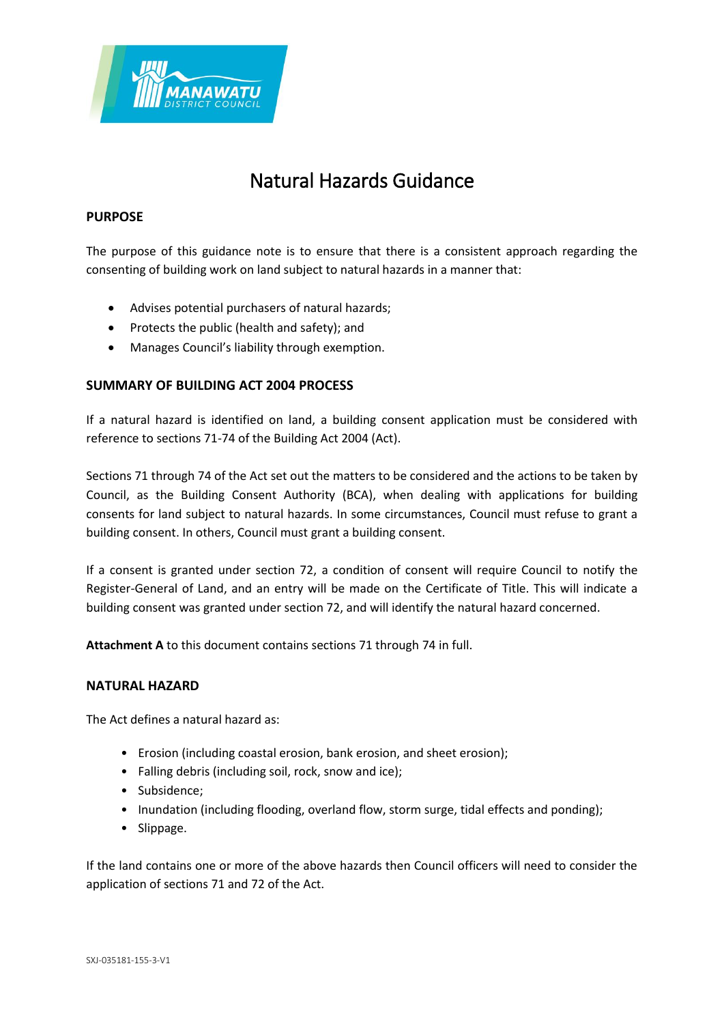

# Natural Hazards Guidance

#### **PURPOSE**

The purpose of this guidance note is to ensure that there is a consistent approach regarding the consenting of building work on land subject to natural hazards in a manner that:

- Advises potential purchasers of natural hazards;
- Protects the public (health and safety); and
- Manages Council's liability through exemption.

### **SUMMARY OF BUILDING ACT 2004 PROCESS**

If a natural hazard is identified on land, a building consent application must be considered with reference to sections 71-74 of the Building Act 2004 (Act).

Sections 71 through 74 of the Act set out the matters to be considered and the actions to be taken by Council, as the Building Consent Authority (BCA), when dealing with applications for building consents for land subject to natural hazards. In some circumstances, Council must refuse to grant a building consent. In others, Council must grant a building consent.

If a consent is granted under section 72, a condition of consent will require Council to notify the Register-General of Land, and an entry will be made on the Certificate of Title. This will indicate a building consent was granted under section 72, and will identify the natural hazard concerned.

**Attachment A** to this document contains sections 71 through 74 in full.

#### **NATURAL HAZARD**

The Act defines a natural hazard as:

- Erosion (including coastal erosion, bank erosion, and sheet erosion);
- Falling debris (including soil, rock, snow and ice);
- Subsidence;
- Inundation (including flooding, overland flow, storm surge, tidal effects and ponding);
- Slippage.

If the land contains one or more of the above hazards then Council officers will need to consider the application of sections 71 and 72 of the Act.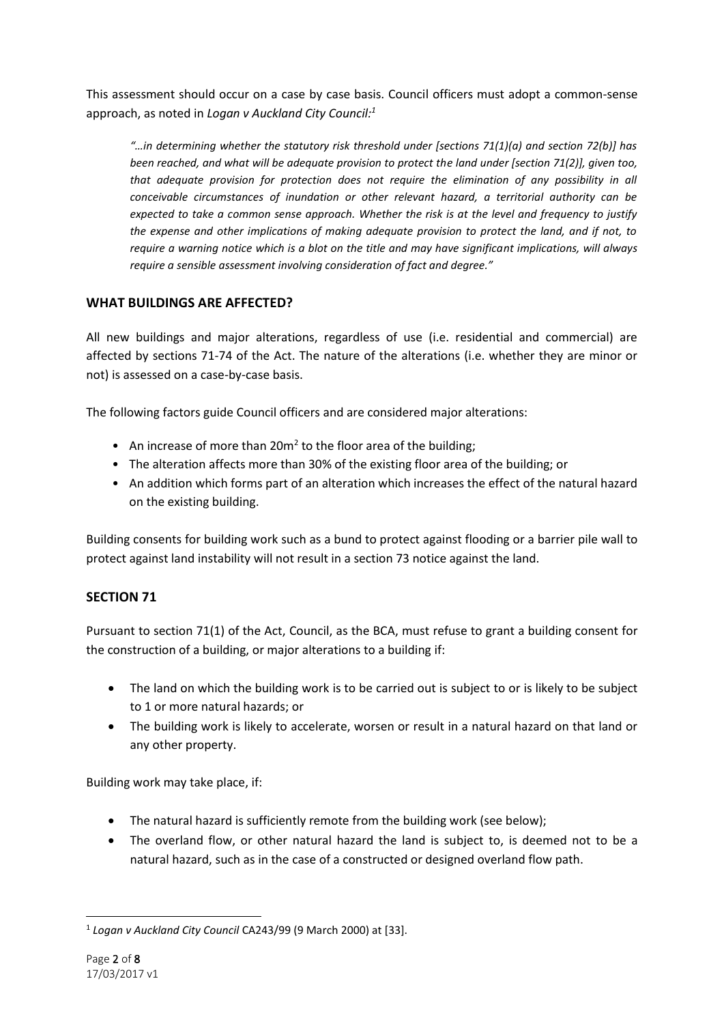This assessment should occur on a case by case basis. Council officers must adopt a common-sense approach, as noted in *Logan v Auckland City Council:<sup>1</sup>*

*"…in determining whether the statutory risk threshold under [sections 71(1)(a) and section 72(b)] has been reached, and what will be adequate provision to protect the land under [section 71(2)], given too, that adequate provision for protection does not require the elimination of any possibility in all conceivable circumstances of inundation or other relevant hazard, a territorial authority can be expected to take a common sense approach. Whether the risk is at the level and frequency to justify the expense and other implications of making adequate provision to protect the land, and if not, to require a warning notice which is a blot on the title and may have significant implications, will always require a sensible assessment involving consideration of fact and degree."*

## **WHAT BUILDINGS ARE AFFECTED?**

All new buildings and major alterations, regardless of use (i.e. residential and commercial) are affected by sections 71-74 of the Act. The nature of the alterations (i.e. whether they are minor or not) is assessed on a case-by-case basis.

The following factors guide Council officers and are considered major alterations:

- An increase of more than 20m<sup>2</sup> to the floor area of the building;
- The alteration affects more than 30% of the existing floor area of the building; or
- An addition which forms part of an alteration which increases the effect of the natural hazard on the existing building.

Building consents for building work such as a bund to protect against flooding or a barrier pile wall to protect against land instability will not result in a section 73 notice against the land.

## **SECTION 71**

Pursuant to section 71(1) of the Act, Council, as the BCA, must refuse to grant a building consent for the construction of a building, or major alterations to a building if:

- The land on which the building work is to be carried out is subject to or is likely to be subject to 1 or more natural hazards; or
- The building work is likely to accelerate, worsen or result in a natural hazard on that land or any other property.

Building work may take place, if:

- The natural hazard is sufficiently remote from the building work (see below);
- The overland flow, or other natural hazard the land is subject to, is deemed not to be a natural hazard, such as in the case of a constructed or designed overland flow path.

 $\overline{\phantom{a}}$ 1 *Logan v Auckland City Council* CA243/99 (9 March 2000) at [33].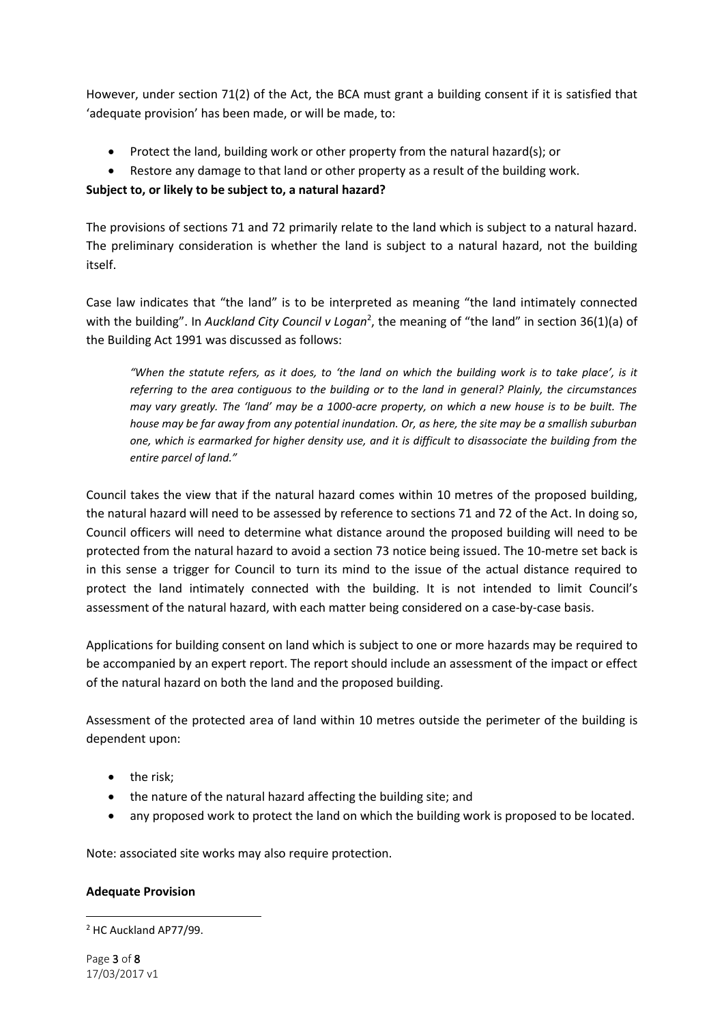However, under section 71(2) of the Act, the BCA must grant a building consent if it is satisfied that 'adequate provision' has been made, or will be made, to:

- Protect the land, building work or other property from the natural hazard(s); or
- Restore any damage to that land or other property as a result of the building work.

## **Subject to, or likely to be subject to, a natural hazard?**

The provisions of sections 71 and 72 primarily relate to the land which is subject to a natural hazard. The preliminary consideration is whether the land is subject to a natural hazard, not the building itself.

Case law indicates that "the land" is to be interpreted as meaning "the land intimately connected with the building". In *Auckland City Council v Logan<sup>2</sup>*, the meaning of "the land" in section 36(1)(a) of the Building Act 1991 was discussed as follows:

*"When the statute refers, as it does, to 'the land on which the building work is to take place', is it referring to the area contiguous to the building or to the land in general? Plainly, the circumstances may vary greatly. The 'land' may be a 1000-acre property, on which a new house is to be built. The house may be far away from any potential inundation. Or, as here, the site may be a smallish suburban one, which is earmarked for higher density use, and it is difficult to disassociate the building from the entire parcel of land."*

Council takes the view that if the natural hazard comes within 10 metres of the proposed building, the natural hazard will need to be assessed by reference to sections 71 and 72 of the Act. In doing so, Council officers will need to determine what distance around the proposed building will need to be protected from the natural hazard to avoid a section 73 notice being issued. The 10-metre set back is in this sense a trigger for Council to turn its mind to the issue of the actual distance required to protect the land intimately connected with the building. It is not intended to limit Council's assessment of the natural hazard, with each matter being considered on a case-by-case basis.

Applications for building consent on land which is subject to one or more hazards may be required to be accompanied by an expert report. The report should include an assessment of the impact or effect of the natural hazard on both the land and the proposed building.

Assessment of the protected area of land within 10 metres outside the perimeter of the building is dependent upon:

- the risk;
- the nature of the natural hazard affecting the building site; and
- any proposed work to protect the land on which the building work is proposed to be located.

Note: associated site works may also require protection.

### **Adequate Provision**

 $\overline{\phantom{a}}$ <sup>2</sup> HC Auckland AP77/99.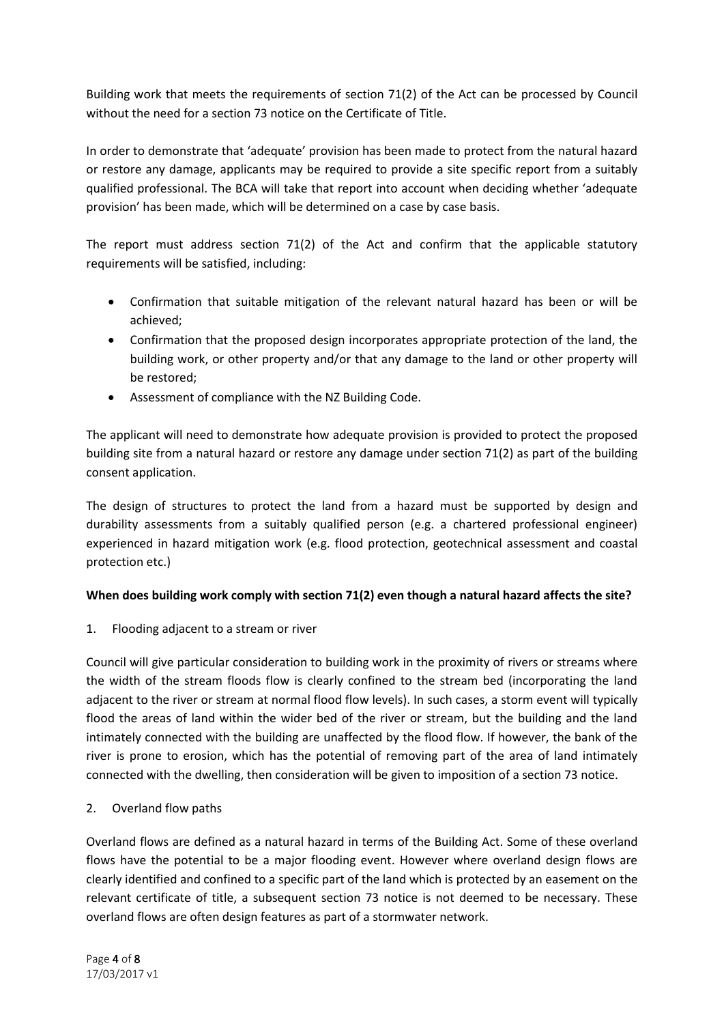Building work that meets the requirements of section 71(2) of the Act can be processed by Council without the need for a section 73 notice on the Certificate of Title.

In order to demonstrate that 'adequate' provision has been made to protect from the natural hazard or restore any damage, applicants may be required to provide a site specific report from a suitably qualified professional. The BCA will take that report into account when deciding whether 'adequate provision' has been made, which will be determined on a case by case basis.

The report must address section  $71(2)$  of the Act and confirm that the applicable statutory requirements will be satisfied, including:

- Confirmation that suitable mitigation of the relevant natural hazard has been or will be achieved;
- Confirmation that the proposed design incorporates appropriate protection of the land, the building work, or other property and/or that any damage to the land or other property will be restored;
- Assessment of compliance with the NZ Building Code.

The applicant will need to demonstrate how adequate provision is provided to protect the proposed building site from a natural hazard or restore any damage under section 71(2) as part of the building consent application.

The design of structures to protect the land from a hazard must be supported by design and durability assessments from a suitably qualified person (e.g. a chartered professional engineer) experienced in hazard mitigation work (e.g. flood protection, geotechnical assessment and coastal protection etc.)

### **When does building work comply with section 71(2) even though a natural hazard affects the site?**

1. Flooding adjacent to a stream or river

Council will give particular consideration to building work in the proximity of rivers or streams where the width of the stream floods flow is clearly confined to the stream bed (incorporating the land adjacent to the river or stream at normal flood flow levels). In such cases, a storm event will typically flood the areas of land within the wider bed of the river or stream, but the building and the land intimately connected with the building are unaffected by the flood flow. If however, the bank of the river is prone to erosion, which has the potential of removing part of the area of land intimately connected with the dwelling, then consideration will be given to imposition of a section 73 notice.

2. Overland flow paths

Overland flows are defined as a natural hazard in terms of the Building Act. Some of these overland flows have the potential to be a major flooding event. However where overland design flows are clearly identified and confined to a specific part of the land which is protected by an easement on the relevant certificate of title, a subsequent section 73 notice is not deemed to be necessary. These overland flows are often design features as part of a stormwater network.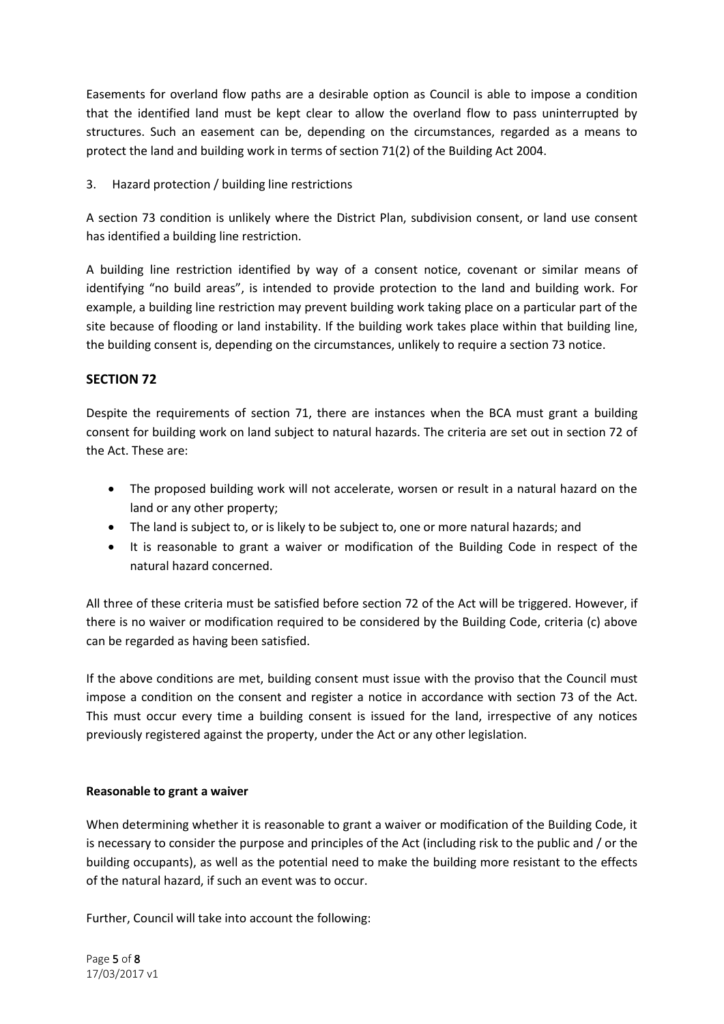Easements for overland flow paths are a desirable option as Council is able to impose a condition that the identified land must be kept clear to allow the overland flow to pass uninterrupted by structures. Such an easement can be, depending on the circumstances, regarded as a means to protect the land and building work in terms of section 71(2) of the Building Act 2004.

3. Hazard protection / building line restrictions

A section 73 condition is unlikely where the District Plan, subdivision consent, or land use consent has identified a building line restriction.

A building line restriction identified by way of a consent notice, covenant or similar means of identifying "no build areas", is intended to provide protection to the land and building work. For example, a building line restriction may prevent building work taking place on a particular part of the site because of flooding or land instability. If the building work takes place within that building line, the building consent is, depending on the circumstances, unlikely to require a section 73 notice.

## **SECTION 72**

Despite the requirements of section 71, there are instances when the BCA must grant a building consent for building work on land subject to natural hazards. The criteria are set out in section 72 of the Act. These are:

- The proposed building work will not accelerate, worsen or result in a natural hazard on the land or any other property;
- The land is subject to, or is likely to be subject to, one or more natural hazards; and
- It is reasonable to grant a waiver or modification of the Building Code in respect of the natural hazard concerned.

All three of these criteria must be satisfied before section 72 of the Act will be triggered. However, if there is no waiver or modification required to be considered by the Building Code, criteria (c) above can be regarded as having been satisfied.

If the above conditions are met, building consent must issue with the proviso that the Council must impose a condition on the consent and register a notice in accordance with section 73 of the Act. This must occur every time a building consent is issued for the land, irrespective of any notices previously registered against the property, under the Act or any other legislation.

### **Reasonable to grant a waiver**

When determining whether it is reasonable to grant a waiver or modification of the Building Code, it is necessary to consider the purpose and principles of the Act (including risk to the public and / or the building occupants), as well as the potential need to make the building more resistant to the effects of the natural hazard, if such an event was to occur.

Further, Council will take into account the following: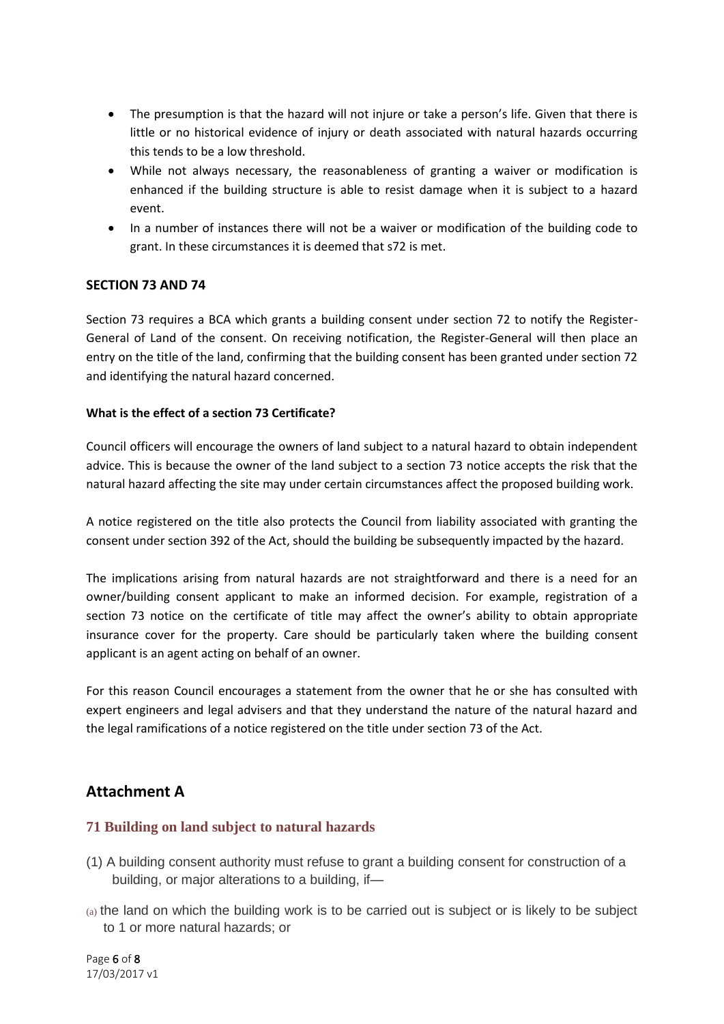- The presumption is that the hazard will not injure or take a person's life. Given that there is little or no historical evidence of injury or death associated with natural hazards occurring this tends to be a low threshold.
- While not always necessary, the reasonableness of granting a waiver or modification is enhanced if the building structure is able to resist damage when it is subject to a hazard event.
- In a number of instances there will not be a waiver or modification of the building code to grant. In these circumstances it is deemed that s72 is met.

## **SECTION 73 AND 74**

Section 73 requires a BCA which grants a building consent under section 72 to notify the Register-General of Land of the consent. On receiving notification, the Register-General will then place an entry on the title of the land, confirming that the building consent has been granted under section 72 and identifying the natural hazard concerned.

### **What is the effect of a section 73 Certificate?**

Council officers will encourage the owners of land subject to a natural hazard to obtain independent advice. This is because the owner of the land subject to a section 73 notice accepts the risk that the natural hazard affecting the site may under certain circumstances affect the proposed building work.

A notice registered on the title also protects the Council from liability associated with granting the consent under section 392 of the Act, should the building be subsequently impacted by the hazard.

The implications arising from natural hazards are not straightforward and there is a need for an owner/building consent applicant to make an informed decision. For example, registration of a section 73 notice on the certificate of title may affect the owner's ability to obtain appropriate insurance cover for the property. Care should be particularly taken where the building consent applicant is an agent acting on behalf of an owner.

For this reason Council encourages a statement from the owner that he or she has consulted with expert engineers and legal advisers and that they understand the nature of the natural hazard and the legal ramifications of a notice registered on the title under section 73 of the Act.

# **Attachment A**

### **71 Building on land subject to natural hazards**

- (1) A building consent authority must refuse to grant a building consent for construction of a building, or major alterations to a building, if—
- (a) the land on which the building work is to be carried out is subject or is likely to be subject to 1 or more natural hazards; or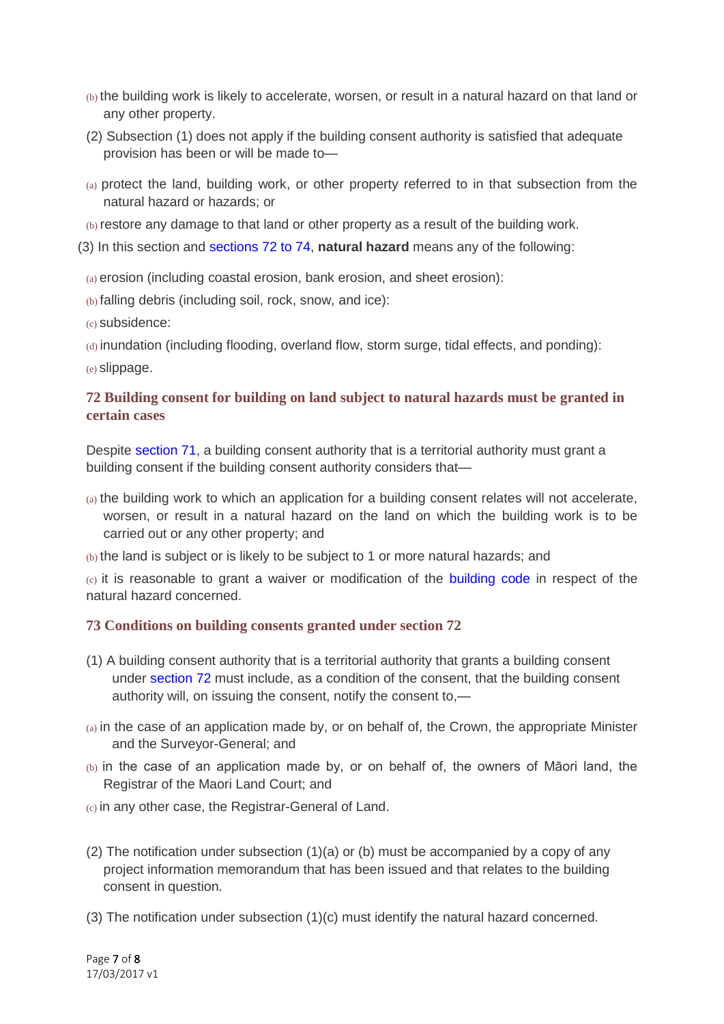- (b) the building work is likely to accelerate, worsen, or result in a natural hazard on that land or any other property.
- (2) Subsection (1) does not apply if the building consent authority is satisfied that adequate provision has been or will be made to—
- (a) protect the land, building work, or other property referred to in that subsection from the natural hazard or hazards; or
- (b) restore any damage to that land or other property as a result of the building work.
- (3) In this section and [sections 72 to 74,](http://www.legislation.govt.nz/act/public/2004/0072/latest/link.aspx?id=DLM306819#DLM306819) **natural hazard** means any of the following:
	- (a) erosion (including coastal erosion, bank erosion, and sheet erosion):
	- (b) falling debris (including soil, rock, snow, and ice):
	- (c) subsidence:
	- (d) inundation (including flooding, overland flow, storm surge, tidal effects, and ponding):
	- (e) slippage.

## **72 Building consent for building on land subject to natural hazards must be granted in certain cases**

Despite [section 71,](http://www.legislation.govt.nz/act/public/2004/0072/latest/link.aspx?id=DLM306818#DLM306818) a building consent authority that is a territorial authority must grant a building consent if the building consent authority considers that—

- (a) the building work to which an application for a building consent relates will not accelerate, worsen, or result in a natural hazard on the land on which the building work is to be carried out or any other property; and
- (b) the land is subject or is likely to be subject to 1 or more natural hazards; and

 $(c)$  it is reasonable to grant a waiver or modification of the [building code](http://www.legislation.govt.nz/act/public/2004/0072/latest/link.aspx?id=DLM162576#DLM162576) in respect of the natural hazard concerned.

## **73 Conditions on building consents granted under section 72**

- (1) A building consent authority that is a territorial authority that grants a building consent under [section 72](http://www.legislation.govt.nz/act/public/2004/0072/latest/link.aspx?id=DLM306819#DLM306819) must include, as a condition of the consent, that the building consent authority will, on issuing the consent, notify the consent to,—
- (a) in the case of an application made by, or on behalf of, the Crown, the appropriate Minister and the Surveyor-General; and
- (b) in the case of an application made by, or on behalf of, the owners of Māori land, the Registrar of the Maori Land Court; and

(c) in any other case, the Registrar-General of Land.

- (2) The notification under subsection  $(1)(a)$  or (b) must be accompanied by a copy of any project information memorandum that has been issued and that relates to the building consent in question.
- (3) The notification under subsection (1)(c) must identify the natural hazard concerned.